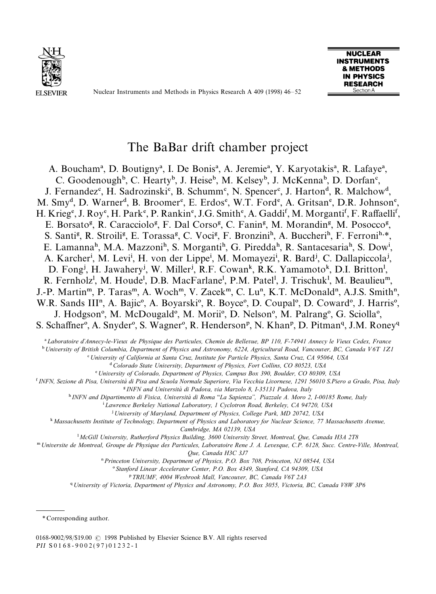

Nuclear Instruments and Methods in Physics Research A 409 (1998) 46*—*52



# The BaBar drift chamber project

A. Boucham<sup>a</sup>, D. Boutigny<sup>a</sup>, I. De Bonis<sup>a</sup>, A. Jeremie<sup>a</sup>, Y. Karyotakis<sup>a</sup>, R. Lafaye<sup>a</sup>, C. Goodenough<sup>b</sup>, C. Hearty<sup>b</sup>, J. Heise<sup>b</sup>, M. Kelsey<sup>b</sup>, J. McKenna<sup>b</sup>, D. Dorfan<sup>c</sup>, J. Fernandez<sup>c</sup>, H. Sadrozinski<sup>c</sup>, B. Schumm<sup>c</sup>, N. Spencer<sup>c</sup>, J. Harton<sup>d</sup>, R. Malchow<sup>d</sup>, M. Smy<sup>d</sup>, D. Warner<sup>d</sup>, B. Broomer<sup>e</sup>, E. Erdos<sup>e</sup>, W.T. Ford<sup>e</sup>, A. Gritsan<sup>e</sup>, D.R. Johnson<sup>e</sup>, H. Krieg<sup>e</sup>, J. Roy<sup>e</sup>, H. Park<sup>e</sup>, P. Rankin<sup>e</sup>, J.G. Smith<sup>e</sup>, A. Gaddi<sup>f</sup>, M. Morganti<sup>f</sup>, F. Raffaelli<sup>f</sup>, E. Borsato<sup>g</sup>, R. Caracciolo<sup>g</sup>, F. Dal Corso<sup>g</sup>, C. Fanin<sup>g</sup>, M. Morandin<sup>g</sup>, M. Posocco<sup>g</sup>, S. Santi<sup>g</sup>, R. Stroili<sup>g</sup>, E. Torassa<sup>g</sup>, C. Voci<sup>g</sup>, F. Bronzini<sup>h</sup>, A. Buccheri<sup>h</sup>, F. Ferroni<sup>h,\*</sup>, E. Lamanna<sup>h</sup>, M.A. Mazzoni<sup>h</sup>, S. Morganti<sup>h</sup>, G. Piredda<sup>h</sup>, R. Santacesaria<sup>h</sup>, S. Dow<sup>i</sup>, A. Karcher<sup>i</sup>, M. Levi<sup>i</sup>, H. von der Lippe<sup>i</sup>, M. Momayezi<sup>i</sup>, R. Bard<sup>j</sup>, C. Dallapiccola<sup>j</sup>, D. Fong<sup>j</sup>, H. Jawahery<sup>j</sup>, W. Miller<sup>j</sup>, R.F. Cowan<sup>k</sup>, R.K. Yamamoto<sup>k</sup>, D.I. Britton<sup>1</sup>, R. Fernholz<sup>1</sup>, M. Houde<sup>1</sup>, D.B. MacFarlane<sup>1</sup>, P.M. Patel<sup>1</sup>, J. Trischuk<sup>1</sup>, M. Beaulieu<sup>m</sup>, J.-P. Martin<sup>m</sup>, P. Taras<sup>m</sup>, A. Woch<sup>m</sup>, V. Zacek<sup>m</sup>, C. Lu<sup>n</sup>, K.T. McDonald<sup>n</sup>, A.J.S. Smith<sup>n</sup>, W.R. Sands III<sup>n</sup>, A. Bajic<sup>o</sup>, A. Boyarski<sup>o</sup>, R. Boyce<sup>o</sup>, D. Coupal<sup>o</sup>, D. Coward<sup>o</sup>, J. Harris<sup>o</sup>, J. Hodgson<sup>o</sup>, M. McDougald<sup>o</sup>, M. Morii<sup>o</sup>, D. Nelson<sup>o</sup>, M. Palrang<sup>o</sup>, G. Sciolla<sup>o</sup>, S. Schaffner<sup>o</sup>, A. Snyder<sup>o</sup>, S. Wagner<sup>o</sup>, R. Henderson<sup>p</sup>, N. Khan<sup>p</sup>, D. Pitman<sup>q</sup>, J.M. Roney<sup>q</sup>

! *Laboratoire d*+*Annecy-le-Vieux de Physique des Particules, Chemin de Bellevue, BP 110, F-74941 Annecy le Vieux Cedex, France*

 $^{\text{b}}$  University of British Columbia, Department of Physics and Astronomy, 6224, Agricultural Road, Vancouver, BC, Canada V6T 1Z1

# *University of California at Santa Cruz, Institute for Particle Physics, Santa Cruz, CA 95064, USA*

\$ *Colorado State University, Department of Physics, Fort Collins, CO 80523, USA*

% *University of Colorado, Department of Physics, Campus Box 390, Boulder, CO 80309, USA*

& *INFN, Sezione di Pisa, Universita*% *di Pisa and Scuola Normale Superiore, Via Vecchia Livornese, 1291 56010 S.Piero a Grado, Pisa, Italy* ' *INFN and Universita*% *di Padova, via Marzolo 8, I-35131 Padova, Italy*

)*INFN and Dipartimento di Fisica, Universita*% *di Roma* ''*La Sapienza*++*, Piazzale A. Moro 2, I-00185 Rome, Italy*

<sup>i</sup> Lawrence Berkeley National Laboratory, 1 Cyclotron Road, Berkeley, CA 94720, USA

<sup>*i*</sup> University of Maryland, Department of Physics, College Park, MD 20742, USA

, *Massachusetts Institute of Technology, Department of Physics and Laboratory for Nuclear Science, 77 Massachusetts Avenue,*

*Cambridge, MA 02139, USA*

- *McGill University, Rutherford Physics Building, 3600 University Street, Montreal, Que, Canada H3A 2T8*

. *Universite de Montreal, Groupe de Physique des Particules, Laboratoire Rene J. A. Levesque, C.P. 6128, Succ. Centre-Ville, Montreal, Que, Canada H3C 3J7*

/ *Princeton University, Department of Physics, P.O. Box 708, Princeton, NJ 08544, USA*

0 *Stanford Linear Accelerator Center, P.O. Box 4349, Stanford, CA 94309, USA*

1 *TRIUMF, 4004 Wesbrook Mall, Vancouver, BC, Canada V6T 2A3*

2 *University of Victoria, Department of Physics and Astronomy, P.O. Box 3055, Victoria, BC, Canada V8W 3P6*

*\** Corresponding author.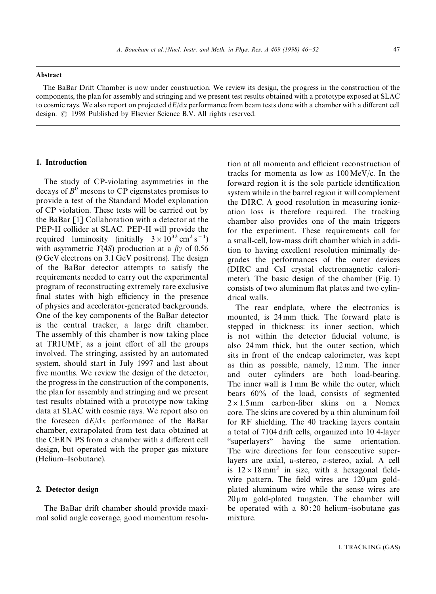#### Abstract

The BaBar Drift Chamber is now under construction. We review its design, the progress in the construction of the components, the plan for assembly and stringing and we present test results obtained with a prototype exposed at SLAC to cosmic rays. We also report on projected d*E*/d*x* performance from beam tests done with a chamber with a different cell design.  $\circled{c}$  1998 Published by Elsevier Science B.V. All rights reserved.

# 1. Introduction

The study of CP-violating asymmetries in the decays of  $B^0$  mesons to CP eigenstates promises to provide a test of the Standard Model explanation of CP violation. These tests will be carried out by the BaBar [1] Collaboration with a detector at the PEP-II collider at SLAC. PEP-II will provide the required luminosity (initially  $3 \times 10^{33}$  cm<sup>2</sup> s<sup>-1</sup>) with asymmetric  $Y(4S)$  production at a  $\beta\gamma$  of 0.56 (9 GeV electrons on 3.1 GeV positrons). The design of the BaBar detector attempts to satisfy the requirements needed to carry out the experimental program of reconstructing extremely rare exclusive final states with high efficiency in the presence of physics and accelerator-generated backgrounds. One of the key components of the BaBar detector is the central tracker, a large drift chamber. The assembly of this chamber is now taking place at TRIUMF, as a joint effort of all the groups involved. The stringing, assisted by an automated system, should start in July 1997 and last about five months. We review the design of the detector, the progress in the construction of the components, the plan for assembly and stringing and we present test results obtained with a prototype now taking data at SLAC with cosmic rays. We report also on the foreseen d*E*/d*x* performance of the BaBar chamber, extrapolated from test data obtained at the CERN PS from a chamber with a different cell design, but operated with the proper gas mixture (Helium*—*Isobutane).

## 2. Detector design

The BaBar drift chamber should provide maximal solid angle coverage, good momentum resolution at all momenta and efficient reconstruction of tracks for momenta as low as 100MeV/c. In the forward region it is the sole particle identification system while in the barrel region it will complement the DIRC. A good resolution in measuring ionization loss is therefore required. The tracking chamber also provides one of the main triggers for the experiment. These requirements call for a small-cell, low-mass drift chamber which in addition to having excellent resolution minimally degrades the performances of the outer devices (DIRC and CsI crystal electromagnetic calorimeter). The basic design of the chamber (Fig. 1) consists of two aluminum flat plates and two cylindrical walls.

The rear endplate, where the electronics is mounted, is 24 mm thick. The forward plate is stepped in thickness: its inner section, which is not within the detector fiducial volume, is also 24 mm thick, but the outer section, which sits in front of the endcap calorimeter, was kept as thin as possible, namely, 12 mm. The inner and outer cylinders are both load-bearing. The inner wall is 1 mm Be while the outer, which bears 60% of the load, consists of segmented  $2 \times 1.5$  mm carbon-fiber skins on a Nomex core. The skins are covered by a thin aluminum foil for RF shielding. The 40 tracking layers contain a total of 7104 drift cells, organized into 10 4-layer "superlayers" having the same orientation. The wire directions for four consecutive superlayers are axial, *u*-stereo, *v*-stereo, axial. A cell is  $12 \times 18$  mm<sup>2</sup> in size, with a hexagonal fieldwire pattern. The field wires are  $120 \,\mu m$  goldplated aluminum wire while the sense wires are  $20 \mu m$  gold-plated tungsten. The chamber will be operated with a 80 : 20 helium*—*isobutane gas mixture.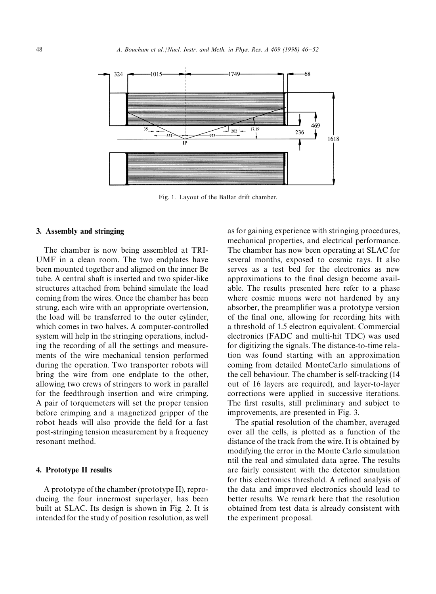

Fig. 1. Layout of the BaBar drift chamber.

#### 3. Assembly and stringing

The chamber is now being assembled at TRI-UMF in a clean room. The two endplates have been mounted together and aligned on the inner Be tube. A central shaft is inserted and two spider-like structures attached from behind simulate the load coming from the wires. Once the chamber has been strung, each wire with an appropriate overtension, the load will be transferred to the outer cylinder, which comes in two halves. A computer-controlled system will help in the stringing operations, including the recording of all the settings and measurements of the wire mechanical tension performed during the operation. Two transporter robots will bring the wire from one endplate to the other, allowing two crews of stringers to work in parallel for the feedthrough insertion and wire crimping. A pair of torquemeters will set the proper tension before crimping and a magnetized gripper of the robot heads will also provide the field for a fast post-stringing tension measurement by a frequency resonant method.

### 4. Prototype II results

A prototype of the chamber (prototype II), reproducing the four innermost superlayer, has been built at SLAC. Its design is shown in Fig. 2. It is intended for the study of position resolution, as well as for gaining experience with stringing procedures, mechanical properties, and electrical performance. The chamber has now been operating at SLAC for several months, exposed to cosmic rays. It also serves as a test bed for the electronics as new approximations to the final design become available. The results presented here refer to a phase where cosmic muons were not hardened by any absorber, the preamplifier was a prototype version of the final one, allowing for recording hits with a threshold of 1.5 electron equivalent. Commercial electronics (FADC and multi-hit TDC) was used for digitizing the signals. The distance-to-time relation was found starting with an approximation coming from detailed MonteCarlo simulations of the cell behaviour. The chamber is self-tracking (14 out of 16 layers are required), and layer-to-layer corrections were applied in successive iterations. The first results, still preliminary and subject to improvements, are presented in Fig. 3.

The spatial resolution of the chamber, averaged over all the cells, is plotted as a function of the distance of the track from the wire. It is obtained by modifying the error in the Monte Carlo simulation ntil the real and simulated data agree. The results are fairly consistent with the detector simulation for this electronics threshold. A refined analysis of the data and improved electronics should lead to better results. We remark here that the resolution obtained from test data is already consistent with the experiment proposal.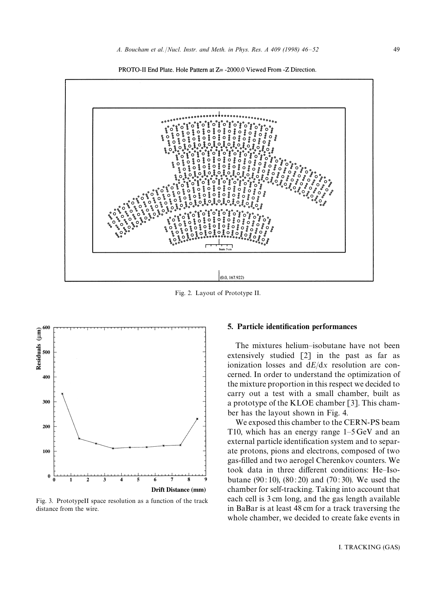

PROTO-II End Plate. Hole Pattern at Z= -2000.0 Viewed From -Z Direction.

Fig. 2. Layout of Prototype II.



Fig. 3. PrototypeII space resolution as a function of the track distance from the wire.

#### 5. Particle identification performances

The mixtures helium*—*isobutane have not been extensively studied [2] in the past as far as ionization losses and d*E*/d*x* resolution are concerned. In order to understand the optimization of the mixture proportion in this respect we decided to carry out a test with a small chamber, built as a prototype of the KLOE chamber [3]. This chamber has the layout shown in Fig. 4.

We exposed this chamber to the CERN-PS beam T10, which has an energy range 1*—*5 GeV and an external particle identification system and to separate protons, pions and electrons, composed of two gas-filled and two aerogel Cherenkov counters. We took data in three different conditions: He*—*Isobutane  $(90:10)$ ,  $(80:20)$  and  $(70:30)$ . We used the chamber for self-tracking. Taking into account that each cell is 3 cm long, and the gas length available in BaBar is at least 48 cm for a track traversing the whole chamber, we decided to create fake events in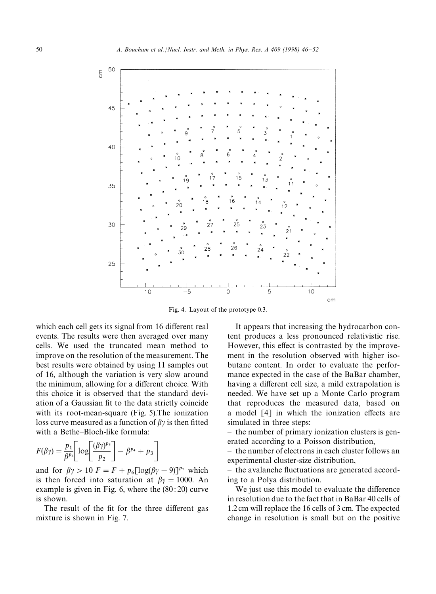

Fig. 4. Layout of the prototype 0.3.

which each cell gets its signal from 16 different real events. The results were then averaged over many cells. We used the truncated mean method to improve on the resolution of the measurement. The best results were obtained by using 11 samples out of 16, although the variation is very slow around the minimum, allowing for a different choice. With this choice it is observed that the standard deviation of a Gaussian fit to the data strictly coincide with its root-mean-square (Fig. 5).The ionization loss curve measured as a function of  $\beta\gamma$  is then fitted with a Bethe*—*Bloch-like formula:

$$
F(\beta \gamma) = \frac{p_1}{\beta^{p_4}} \bigg[ \log \bigg[ \frac{(\beta \gamma)^{p_5}}{p_2} \bigg] - \beta^{p_4} + p_3 \bigg]
$$

and for  $\beta\gamma > 10$  *F* = *F* +  $p_6 \left[ \log(\beta\gamma - 9) \right]^{p_7}$  which is then forced into saturation at  $\beta$ <sub>l</sub> = 1000. An example is given in Fig. 6, where the  $(80:20)$  curve is shown.

The result of the fit for the three different gas mixture is shown in Fig. 7.

It appears that increasing the hydrocarbon content produces a less pronounced relativistic rise. However, this effect is contrasted by the improvement in the resolution observed with higher isobutane content. In order to evaluate the performance expected in the case of the BaBar chamber, having a different cell size, a mild extrapolation is needed. We have set up a Monte Carlo program that reproduces the measured data, based on a model [4] in which the ionization effects are simulated in three steps:

*—* the number of primary ionization clusters is generated according to a Poisson distribution,

*—* the number of electrons in each cluster follows an experimental cluster-size distribution,

*—* the avalanche fluctuations are generated according to a Polya distribution.

We just use this model to evaluate the difference in resolution due to the fact that in BaBar 40 cells of 1.2 cm will replace the 16 cells of 3 cm. The expected change in resolution is small but on the positive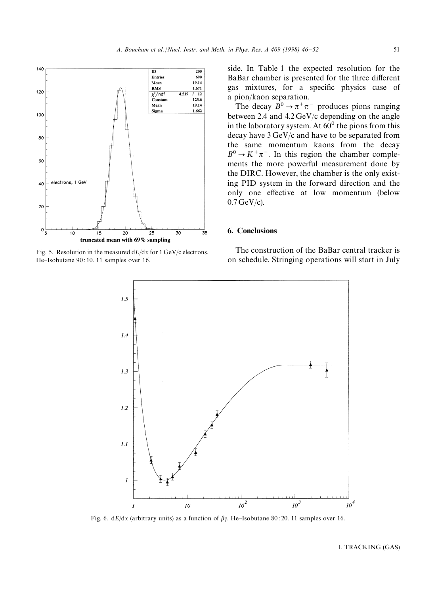

Fig. 5. Resolution in the measured d*E*/d*x* for 1 GeV/c electrons. He–Isobutane 90:10. 11 samples over 16.

side. In Table 1 the expected resolution for the BaBar chamber is presented for the three different gas mixtures, for a specific physics case of a pion/kaon separation.

The decay  $B^0 \rightarrow \pi^+ \pi^-$  produces pions ranging between 2.4 and 4.2 GeV/c depending on the angle in the laboratory system. At  $60^{\circ}$  the pions from this decay have 3 GeV/c and have to be separated from the same momentum kaons from the decay  $B^0 \rightarrow K^+\pi^-$ . In this region the chamber complements the more powerful measurement done by the DIRC. However, the chamber is the only existing PID system in the forward direction and the only one effective at low momentum (below 0.7 GeV/c).

#### 6. Conclusions

The construction of the BaBar central tracker is on schedule. Stringing operations will start in July



Fig. 6. d*E*/d*x* (arbitrary units) as a function of  $\beta\gamma$ . He–Isobutane 80:20. 11 samples over 16.